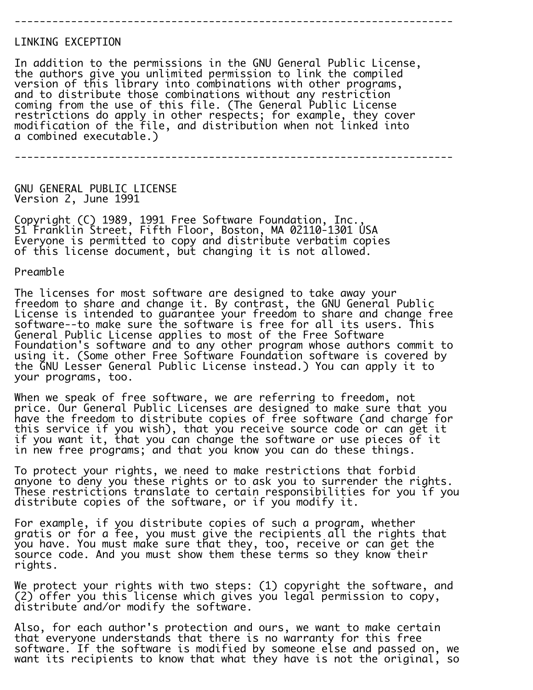## LINKING EXCEPTION

In addition to the permissions in the GNU General Public License, the authors give you unlimited permission to link the compiled version of this library into combinations with other programs, and to distribute those combinations without any restriction coming from the use of this file. (The General Public License restrictions do apply in other respects; for example, they cover modification of the file, and distribution when not linked into a combined executable.)

----------------------------------------------------------------------

----------------------------------------------------------------------

GNU GENERAL PUBLIC LICENSE Version 2, June 1991

Copyright (C) 1989, 1991 Free Software Foundation, Inc., 51 Franklin Street, Fifth Floor, Boston, MA 02110-1301 USA Everyone is permitted to copy and distribute verbatim copies of this license document, but changing it is not allowed.

Preamble

The licenses for most software are designed to take away your freedom to share and change it. By contrast, the GNU General Public License is intended to guarantee your freedom to share and change free software--to make sure the software is free for all its users. This General Public License applies to most of the Free Software Foundation's software and to any other program whose authors commit to using it. (Some other Free Software Foundation software is covered by the GNU Lesser General Public License instead.) You can apply it to your programs, too.

Ī. When we speak of free software, we are referring to freedom, not price. Our General Public Licenses are designed to make sure that you have the freedom to distribute copies of free software (and charge for this service if you wish), that you receive source code or can get it if you want it, that you can change the software or use pieces of it in new free programs; and that you know you can do these things.

To protect your rights, we need to make restrictions that forbid anyone to deny you these rights or to ask you to surrender the rights. These restrictions translate to certain responsibilities for you if you distribute copies of the software, or if you modify it.

For example, if you distribute copies of such a program, whether gratis or for a fee, you must give the recipients all the rights that you have. You must make sure that they, too, receive or can get the source code. And you must show them these terms so they know their rights.

We protect your rights with two steps: (1) copyright the software, and (2) offer you this license which gives you legal permission to copy, distribute and/or modify the software.

Also, for each author's protection and ours, we want to make certain that everyone understands that there is no warranty for this free software. If the software is modified by someone else and passed on, we want its recipients to know that what they have is not the original, so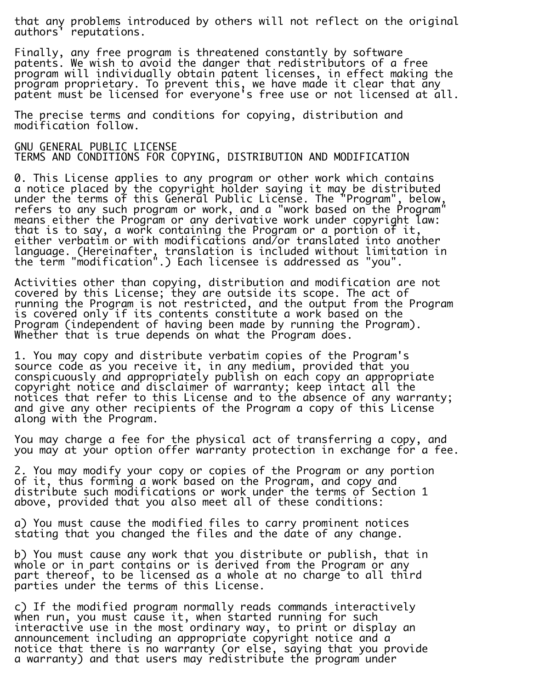that any problems introduced by others will not reflect on the original authors' reputations.

Finally, any free program is threatened constantly by software patents. We wish to avoid the danger that redistributors of a free program will individually obtain patent licenses, in effect making the program proprietary. To prevent this, we have made it clear that any patent must be licensed for everyone's free use or not licensed at all.

i. The precise terms and conditions for copying, distribution and modification follow.

GNU GENERAL PUBLIC LICENSE TERMS AND CONDITIONS FOR COPYING, DISTRIBUTION AND MODIFICATION

0. This License applies to any program or other work which contains a notice placed by the copyright holder saying it may be distributed under the terms of this General Public License. The "Program", below, refers to any such program or work, and a "work based on the Program" means either the Program or any derivative work under copyright law: that is to say, a work containing the Program or a portion of it, either verbatim or with modifications and/or translated into another language. (Hereinafter, translation is included without limitation in the term "modification".) Each licensee is addressed as "you".

Activities other than copying, distribution and modification are not covered by this License; they are outside its scope. The act of running the Program is not restricted, and the output from the Program is covered only if its contents constitute a work based on the Program (independent of having been made by running the Program). Whether that is true depends on what the Program does.

1. You may copy and distribute verbatim copies of the Program's source code as you receive it, in any medium, provided that you conspicuously and appropriately publish on each copy an appropriate copyright notice and disclaimer of warranty; keep intact all the notices that refer to this License and to the absence of any warranty; and give any other recipients of the Program a copy of this License along with the Program.

You may charge a fee for the physical act of transferring a copy, and you may at your option offer warranty protection in exchange for a fee.

2. You may modify your copy or copies of the Program or any portion of it, thus forming a work based on the Program, and copy and distribute such modifications or work under the terms of Section 1 above, provided that you also meet all of these conditions:

a) You must cause the modified files to carry prominent notices stating that you changed the files and the date of any change.

b) You must cause any work that you distribute or publish, that in whole or in part contains or is derived from the Program or any part thereof, to be licensed as a whole at no charge to all third parties under the terms of this License.

c) If the modified program normally reads commands interactively when run, you must cause it, when started running for such interactive use in the most ordinary way, to print or display an announcement including an appropriate copyright notice and a notice that there is no warranty (or else, saying that you provide a warranty) and that users may redistribute the program under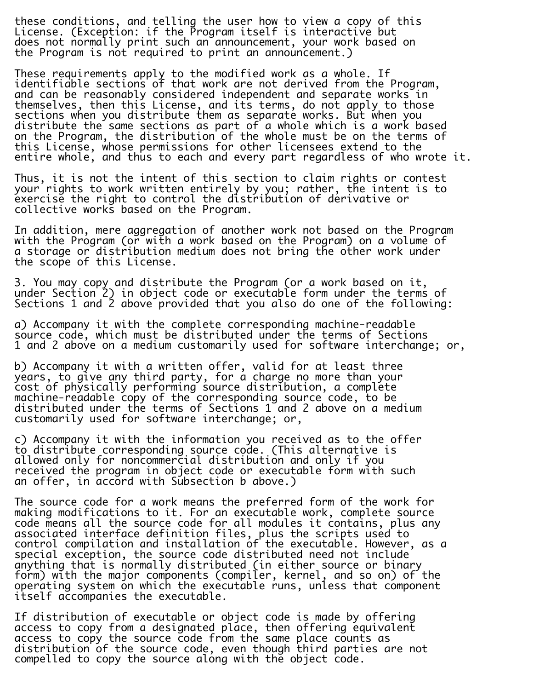these conditions, and telling the user how to view a copy of this License. (Exception: if the Program itself is interactive but does not normally print such an announcement, your work based on the Program is not required to print an announcement.)

These requirements apply to the modified work as a whole. If identifiable sections of that work are not derived from the Program, and can be reasonably considered independent and separate works in themselves, then this License, and its terms, do not apply to those sections when you distribute them as separate works. But when you distribute the same sections as part of a whole which is a work based on the Program, the distribution of the whole must be on the terms of this License, whose permissions for other licensees extend to the entire whole, and thus to each and every part regardless of who wrote it.

Thus, it is not the intent of this section to claim rights or contest your rights to work written entirely by you; rather, the intent is to exercise the right to control the distribution of derivative or collective works based on the Program.

In addition, mere aggregation of another work not based on the Program with the Program (or with a work based on the Program) on a volume of a storage or distribution medium does not bring the other work under the scope of this License.

3. You may copy and distribute the Program (or a work based on it, under Section 2) in object code or executable form under the terms of Sections 1 and 2 above provided that you also do one of the following:

a) Accompany it with the complete corresponding machine-readable source code, which must be distributed under the terms of Sections 1 and 2 above on a medium customarily used for software interchange; or,

b) Accompany it with a written offer, valid for at least three years, to give any third party, for a charge no more than your cost of physically performing source distribution, a complete machine-readable copy of the corresponding source code, to be distributed under the terms of Sections 1 and 2 above on a medium customarily used for software interchange; or,

c) Accompany it with the information you received as to the offer to distribute corresponding source code. (This alternative is allowed only for noncommercial distribution and only if you received the program in object code or executable form with such an offer, in accord with Subsection b above.)

The source code for a work means the preferred form of the work for making modifications to it. For an executable work, complete source code means all the source code for all modules it contains, plus any associated interface definition files, plus the scripts used to control compilation and installation of the executable. However, as a special exception, the source code distributed need not include anything that is normally distributed (in either source or binary form) with the major components (compiler, kernel, and so on) of the operating system on which the executable runs, unless that component itself accompanies the executable.

If distribution of executable or object code is made by offering access to copy from a designated place, then offering equivalent access to copy the source code from the same place counts as distribution of the source code, even though third parties are not compelled to copy the source along with the object code.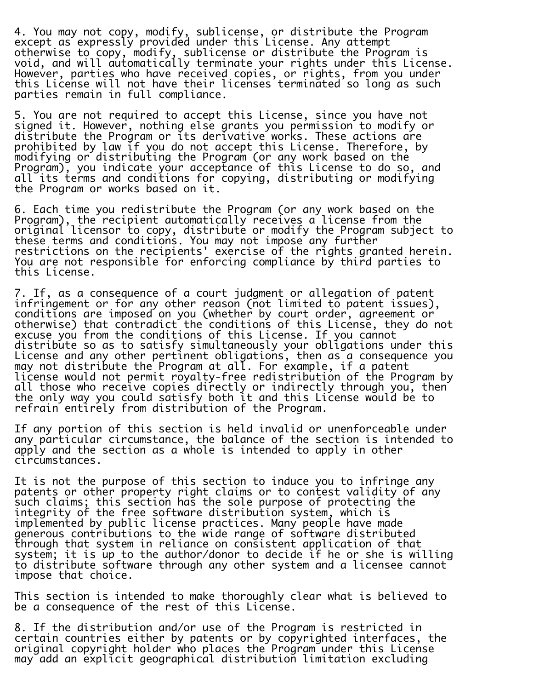4. You may not copy, modify, sublicense, or distribute the Program except as expressly provided under this License. Any attempt otherwise to copy, modify, sublicense or distribute the Program is void, and will automatically terminate your rights under this License. However, parties who have received copies, or rights, from you under this License will not have their licenses terminated so long as such parties remain in full compliance.

i. 5. You are not required to accept this License, since you have not signed it. However, nothing else grants you permission to modify or distribute the Program or its derivative works. These actions are prohibited by law if you do not accept this License. Therefore, by modifying or distributing the Program (or any work based on the Program), you indicate your acceptance of this License to do so, and all its terms and conditions for copying, distributing or modifying the Program or works based on it.

6. Each time you redistribute the Program (or any work based on the Program), the recipient automatically receives a license from the original licensor to copy, distribute or modify the Program subject to these terms and conditions. You may not impose any further restrictions on the recipients' exercise of the rights granted herein. You are not responsible for enforcing compliance by third parties to this License.

7. If, as a consequence of a court judgment or allegation of patent infringement or for any other reason (not limited to patent issues), conditions are imposed on you (whether by court order, agreement or otherwise) that contradict the conditions of this License, they do not excuse you from the conditions of this License. If you cannot distribute so as to satisfy simultaneously your obligations under this License and any other pertinent obligations, then as a consequence you may not distribute the Program at all. For example, if a patent license would not permit royalty-free redistribution of the Program by all those who receive copies directly or indirectly through you, then the only way you could satisfy both it and this License would be to refrain entirely from distribution of the Program.

If any portion of this section is held invalid or unenforceable under any particular circumstance, the balance of the section is intended to apply and the section as a whole is intended to apply in other circumstances.

It is not the purpose of this section to induce you to infringe any patents or other property right claims or to contest validity of any such claims; this section has the sole purpose of protecting the integrity of the free software distribution system, which is implemented by public license practices. Many people have made generous contributions to the wide range of software distributed through that system in reliance on consistent application of that system; it is up to the author/donor to decide if he or she is willing to distribute software through any other system and a licensee cannot impose that choice.

This section is intended to make thoroughly clear what is believed to be a consequence of the rest of this License.

8. If the distribution and/or use of the Program is restricted in certain countries either by patents or by copyrighted interfaces, the original copyright holder who places the Program under this License may add an explicit geographical distribution limitation excluding